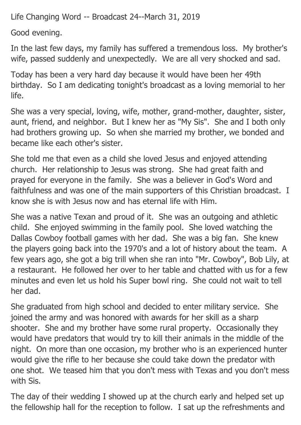Life Changing Word -- Broadcast 24--March 31, 2019

Good evening.

In the last few days, my family has suffered a tremendous loss. My brother's wife, passed suddenly and unexpectedly. We are all very shocked and sad.

Today has been a very hard day because it would have been her 49th birthday. So I am dedicating tonight's broadcast as a loving memorial to her life.

She was a very special, loving, wife, mother, grand-mother, daughter, sister, aunt, friend, and neighbor. But I knew her as "My Sis". She and I both only had brothers growing up. So when she married my brother, we bonded and became like each other's sister.

She told me that even as a child she loved Jesus and enjoyed attending church. Her relationship to Jesus was strong. She had great faith and prayed for everyone in the family. She was a believer in God's Word and faithfulness and was one of the main supporters of this Christian broadcast. I know she is with Jesus now and has eternal life with Him.

She was a native Texan and proud of it. She was an outgoing and athletic child. She enjoyed swimming in the family pool. She loved watching the Dallas Cowboy football games with her dad. She was a big fan. She knew the players going back into the 1970's and a lot of history about the team. A few years ago, she got a big trill when she ran into "Mr. Cowboy", Bob Lily, at a restaurant. He followed her over to her table and chatted with us for a few minutes and even let us hold his Super bowl ring. She could not wait to tell her dad.

She graduated from high school and decided to enter military service. She joined the army and was honored with awards for her skill as a sharp shooter. She and my brother have some rural property. Occasionally they would have predators that would try to kill their animals in the middle of the night. On more than one occasion, my brother who is an experienced hunter would give the rifle to her because she could take down the predator with one shot. We teased him that you don't mess with Texas and you don't mess with Sis.

The day of their wedding I showed up at the church early and helped set up the fellowship hall for the reception to follow. I sat up the refreshments and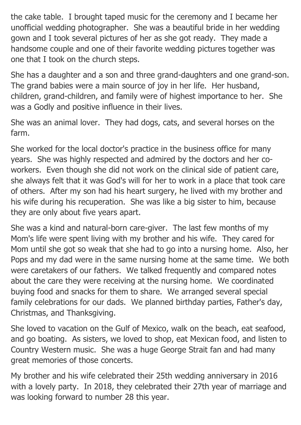the cake table. I brought taped music for the ceremony and I became her unofficial wedding photographer. She was a beautiful bride in her wedding gown and I took several pictures of her as she got ready. They made a handsome couple and one of their favorite wedding pictures together was one that I took on the church steps.

She has a daughter and a son and three grand-daughters and one grand-son. The grand babies were a main source of joy in her life. Her husband, children, grand-children, and family were of highest importance to her. She was a Godly and positive influence in their lives.

She was an animal lover. They had dogs, cats, and several horses on the farm.

She worked for the local doctor's practice in the business office for many years. She was highly respected and admired by the doctors and her coworkers. Even though she did not work on the clinical side of patient care, she always felt that it was God's will for her to work in a place that took care of others. After my son had his heart surgery, he lived with my brother and his wife during his recuperation. She was like a big sister to him, because they are only about five years apart.

She was a kind and natural-born care-giver. The last few months of my Mom's life were spent living with my brother and his wife. They cared for Mom until she got so weak that she had to go into a nursing home. Also, her Pops and my dad were in the same nursing home at the same time. We both were caretakers of our fathers. We talked frequently and compared notes about the care they were receiving at the nursing home. We coordinated buying food and snacks for them to share. We arranged several special family celebrations for our dads. We planned birthday parties, Father's day, Christmas, and Thanksgiving.

She loved to vacation on the Gulf of Mexico, walk on the beach, eat seafood, and go boating. As sisters, we loved to shop, eat Mexican food, and listen to Country Western music. She was a huge George Strait fan and had many great memories of those concerts.

My brother and his wife celebrated their 25th wedding anniversary in 2016 with a lovely party. In 2018, they celebrated their 27th year of marriage and was looking forward to number 28 this year.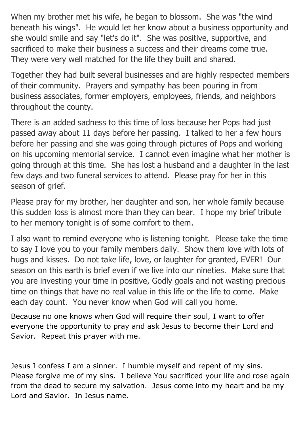When my brother met his wife, he began to blossom. She was "the wind beneath his wings". He would let her know about a business opportunity and she would smile and say "let's do it". She was positive, supportive, and sacrificed to make their business a success and their dreams come true. They were very well matched for the life they built and shared.

Together they had built several businesses and are highly respected members of their community. Prayers and sympathy has been pouring in from business associates, former employers, employees, friends, and neighbors throughout the county.

There is an added sadness to this time of loss because her Pops had just passed away about 11 days before her passing. I talked to her a few hours before her passing and she was going through pictures of Pops and working on his upcoming memorial service. I cannot even imagine what her mother is going through at this time. She has lost a husband and a daughter in the last few days and two funeral services to attend. Please pray for her in this season of grief.

Please pray for my brother, her daughter and son, her whole family because this sudden loss is almost more than they can bear. I hope my brief tribute to her memory tonight is of some comfort to them.

I also want to remind everyone who is listening tonight. Please take the time to say I love you to your family members daily. Show them love with lots of hugs and kisses. Do not take life, love, or laughter for granted, EVER! Our season on this earth is brief even if we live into our nineties. Make sure that you are investing your time in positive, Godly goals and not wasting precious time on things that have no real value in this life or the life to come. Make each day count. You never know when God will call you home.

Because no one knows when God will require their soul, I want to offer everyone the opportunity to pray and ask Jesus to become their Lord and Savior. Repeat this prayer with me.

Jesus I confess I am a sinner. I humble myself and repent of my sins. Please forgive me of my sins. I believe You sacrificed your life and rose again from the dead to secure my salvation. Jesus come into my heart and be my Lord and Savior. In Jesus name.